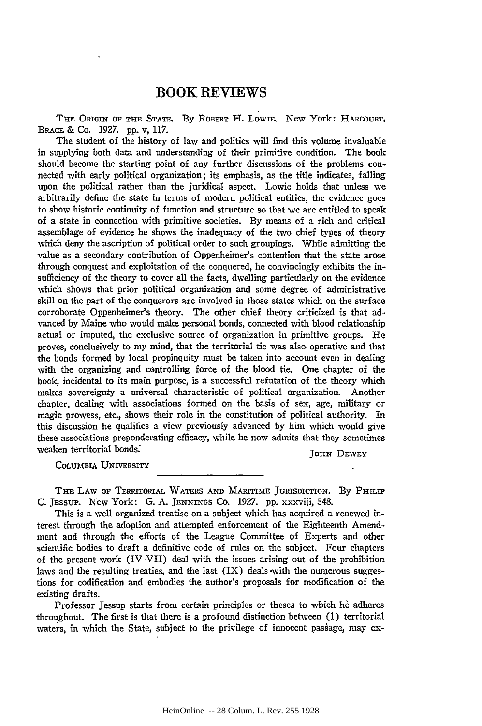## BOOK **REVIEWS**

THE ORIGIN OF THE STATE. By ROBERT H. LOWIE. New York: HARCOURT, BRACE & Co. 1927. pp. v, 117.

The student of the history of law and politics will find this volume invaluable in supplying both data and understanding of their primitive condition. The book should become the starting point of any further discussions of the problems connected with early political organization; its emphasis, as the title indicates, falling upon the political rather than the juridical aspect. Lowie holds that unless we arbitrarily define the state in terms of modern political entities, the evidence goes to show historic continuity of function and structure so that we are entitled to speak of a state in connection with primitive societies. **By** means of a rich and critical assemblage of evidence he shows the inadequacy of the two chief types of theory which deny the ascription of political order to such groupings. While admitting the value as a secondary contribution of Oppenheimer's contention that the state arose through conquest and exploitation of the conquered, he convincingly exhibits the insufficiency of the theory to cover all the facts, dwelling particularly on the evidence which shows that prior political organization and some degree of administrative skill on the part of the conquerors are involved in those states which on the surface corroborate Oppenheimer's theory. The other chief theory criticized is that advanced **by** Maine who would make personal bonds, connected with blood relationship actual or imputed, the exclusive source of organization in primitive groups. He proves, conclusively to my mind, that the territorial tie was also operative and that the bonds formed **by** local propinquity must be taken into account even in dealing with the organizing and controlling force of the blood tie. One chapter of the book, incidental to its main purpose, is a successful refutation of the theory which makes sovereignty a universal characteristic of political organization. Another chapter, dealing with associations formed on the basis of sex, age, military or magic prowess, etc., shows their role in the constitution of political authority. In this discussion he qualifies a view previously advanced **by** him which would give these associations preponderating efficacy, while he now admits that they sometimes weaken territorial bonds. **JOHN** DEWEY

**COLUMBIA** UNIVERSITY

**THE LAW OF TERRITORIAL WATERS AND MARITIME JURISDIcTION. By PHILIP C. JESSUP.** New York: **G. A. JENNINGS** Co. **1927. pp.** xxxviii, 548.

This is a well-organized treatise on a subject which has acquired a renewed interest through the adoption and attempted enforcement of the Eighteenth Amendment and through the efforts of the League Committee of Experts and other scientific bodies to draft a definitive code of rules on the subject. Four chapters of the present work (IV-VII) deal with the issues arising out of the prohibition laws and the resulting treaties, and the last  $(IX)$  deals with the numerous suggestions for codification and embodies the author's proposals for modification of the existing drafts.

Professor Jessup starts from certain principles or theses to which he adheres throughout. The first is that there is a profound distinction between (1) territorial waters, in which the State, subject to the privilege of innocent passage, may ex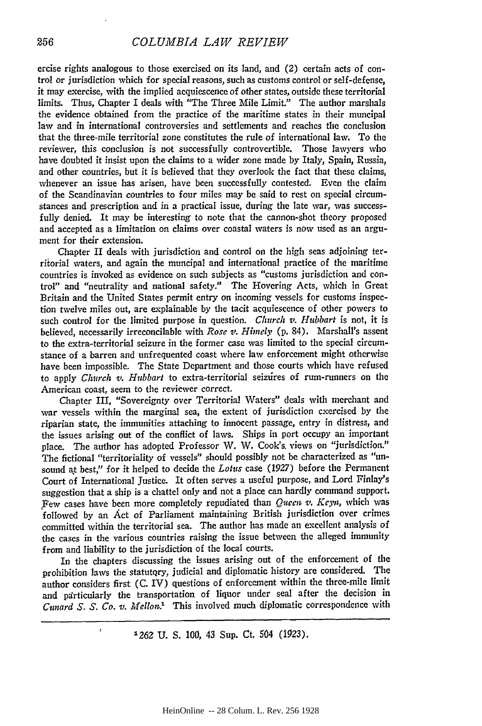ercise rights analogous to those exercised on its land, and (2) certain acts of control or jurisdiction which for special reasons, such as customs control or self-defense, it may exercise, with the implied acquiescence of other states, outside these territorial limits. Thus, Chapter I deals with "The Three Mile Limit." The author marshals the evidence obtained from the practice of the maritime states in their muncipal law and in international controversies and settlements and reaches the conclusion that the three-mile territorial zone constitutes the rule of international law. To the reviewer, this conclusion is not successfully controvertible. Those lawyers who have doubted it insist upon the claims to a wider zone made by Italy, Spain, Russia, and other countries, but it is believed that they overlook the fact that these claims, whenever an issue has arisen, have been successfully contested. Even the claim of the Scandinavian countries to four miles may be said to rest on special circumstances and prescription and in a practical issue, during the late war, was successfully denied. It may be interesting to note that the cannon-shot theory proposed and accepted as a limitation on claims over coastal waters is now used as an argument for their extension.

Chapter II deals with jurisdiction and control on the high seas adjoining territorial waters, and again the muncipal and international practice of the maritime countries is invoked as evidence on such subjects as "customs jurisdiction and control" and "neutrality and national safety." The Hovering Acts, which in Great Britain and the United States permit entry on incoming vessels for customs inspection twelve miles out, are explainable by the tacit acquiescence of other powers to such control for the limited purpose in question. *Church v. Hubbart* is not, it is believed, necessarily irreconcilable with *Rose v. Hinely* (p. 84). Marshall's assent to the extra-territorial seizure in the former case was limited to the special circumstance of a barren and unfrequented coast where law enforcement might otherwise have been impossible. The State Department and those courts which have refused to apply *Church v. Hubbart* to extra-territorial seizures of rum-runners on the American coast, seem to the reviewer correct.

Chapter III, "Sovereignty over Territorial Waters" deals with merchant and war vessels within the marginal sea, the extent of jurisdiction exercised by the riparian state, the immunities attaching to innocent passage, entry in distress, and the issues arising out of the conflict of laws. Ships in port occupy an important place. The author has adopted Professor W. W. Cook's, views on "jurisdiction." The fictional "territoriality of vessels" should possibly not be characterized as "unsound at best," for it helped to decide the *Lotts* case (1927) before the Permanent Court of International Justice. It often serves a useful purpose, and Lord Finlay's suggestion that a ship is a chattel only and not a place can hardly command support. Few cases have been more completely repudiated than *Queent v. Kcya,* which was followed **by** an Act of Parliament maintaining British jurisdiction over crimes committed within the territorial sea. The author has made an excellent analysis of the cases in the various countries raising the issue between the alleged immunity from and liability to the jurisdiction of the local courts.

In the chapters discussing the issues arising out of the enforcement of the prohibition laws the statutory, judicial and diplomatic history are considered. The author considers first (C. IV) questions of enforcement within the three-mile limit and particularly the transportation of liquor under seal after the decision in *Cunard S. S. Co. v. Mellon.* This involved much diplomatic correspondence with

**1 1262 U. S.** 100, 43 Sup. Ct. 504 (1923).